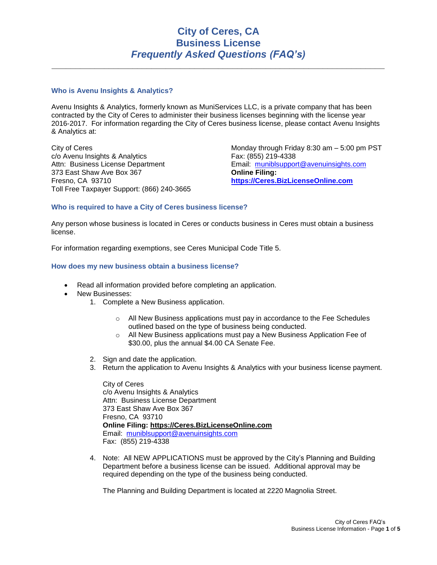# **City of Ceres, CA Business License** *Frequently Asked Questions (FAQ's)*

**\_\_\_\_\_\_\_\_\_\_\_\_\_\_\_\_\_\_\_\_\_\_\_\_\_\_\_\_\_\_\_\_\_\_\_\_\_\_\_\_\_\_\_\_\_\_\_\_\_\_\_\_\_\_\_\_\_\_\_\_\_\_\_\_\_\_\_\_\_\_**

# **Who is Avenu Insights & Analytics?**

Avenu Insights & Analytics, formerly known as MuniServices LLC, is a private company that has been contracted by the City of Ceres to administer their business licenses beginning with the license year 2016-2017. For information regarding the City of Ceres business license, please contact Avenu Insights & Analytics at:

City of Ceres c/o Avenu Insights & Analytics Attn: Business License Department 373 East Shaw Ave Box 367 Fresno, CA 93710 Toll Free Taxpayer Support: (866) 240-3665 Monday through Friday 8:30 am – 5:00 pm PST Fax: (855) 219-4338 Email: [muniblsupport@avenuinsights.com](mailto:muniblsupport@avenuinsights.com) **Online Filing: [https://Ceres.BizLicenseOnline.com](https://ceres.bizlicenseonline.com/)**

# **Who is required to have a City of Ceres business license?**

Any person whose business is located in Ceres or conducts business in Ceres must obtain a business license.

For information regarding exemptions, see Ceres Municipal Code Title 5.

# **How does my new business obtain a business license?**

- Read all information provided before completing an application.
- New Businesses:
	- 1. Complete a New Business application.
		- $\circ$  All New Business applications must pay in accordance to the Fee Schedules outlined based on the type of business being conducted.
		- $\circ$  All New Business applications must pay a New Business Application Fee of \$30.00, plus the annual \$4.00 CA Senate Fee.
	- 2. Sign and date the application.
	- 3. Return the application to Avenu Insights & Analytics with your business license payment.

City of Ceres c/o Avenu Insights & Analytics Attn: Business License Department 373 East Shaw Ave Box 367 Fresno, CA 93710 **Online Filing: [https://Ceres.BizLicenseOnline.com](https://ceres.bizlicenseonline.com/)** Email: [muniblsupport@avenuinsights.com](mailto:muniblsupport@avenuinsights.com) Fax: (855) 219-4338

4. Note: All NEW APPLICATIONS must be approved by the City's Planning and Building Department before a business license can be issued. Additional approval may be required depending on the type of the business being conducted.

The Planning and Building Department is located at 2220 Magnolia Street.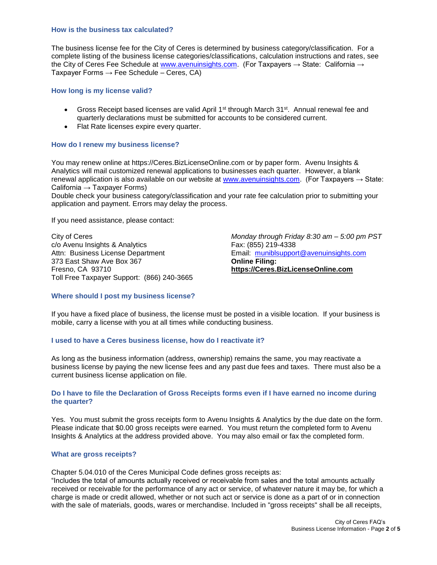### **How is the business tax calculated?**

The business license fee for the City of Ceres is determined by business category/classification. For a complete listing of the business license categories/classifications, calculation instructions and rates, see the City of Ceres Fee Schedule at [www.avenuinsights.com.](http://www.avenuinsights.com/) (For Taxpayers  $\rightarrow$  State: California  $\rightarrow$ Taxpayer Forms  $\rightarrow$  Fee Schedule – Ceres, CA)

# **How long is my license valid?**

- Gross Receipt based licenses are valid April 1<sup>st</sup> through March  $31<sup>st</sup>$ . Annual renewal fee and quarterly declarations must be submitted for accounts to be considered current.
- Flat Rate licenses expire every quarter.

# **How do I renew my business license?**

You may renew online at https://Ceres.BizLicenseOnline.com or by paper form. Avenu Insights & Analytics will mail customized renewal applications to businesses each quarter. However, a blank renewal application is also available on our website at [www.avenuinsights.com.](http://www.avenuinsights.com/) (For Taxpayers  $\rightarrow$  State: California  $\rightarrow$  Taxpayer Forms)

Double check your business category/classification and your rate fee calculation prior to submitting your application and payment. Errors may delay the process.

If you need assistance, please contact:

City of Ceres c/o Avenu Insights & Analytics Attn: Business License Department 373 East Shaw Ave Box 367 Fresno, CA 93710 Toll Free Taxpayer Support: (866) 240-3665 *Monday through Friday 8:30 am – 5:00 pm PST* Fax: (855) 219-4338 Email: [muniblsupport@avenuinsights.com](mailto:muniblsupport@avenuinsights.com) **Online Filing: [https://Ceres.BizLicenseOnline.com](https://ceres.bizlicenseonline.com/)**

# **Where should I post my business license?**

If you have a fixed place of business, the license must be posted in a visible location. If your business is mobile, carry a license with you at all times while conducting business.

# **I used to have a Ceres business license, how do I reactivate it?**

As long as the business information (address, ownership) remains the same, you may reactivate a business license by paying the new license fees and any past due fees and taxes. There must also be a current business license application on file.

# **Do I have to file the Declaration of Gross Receipts forms even if I have earned no income during the quarter?**

Yes. You must submit the gross receipts form to Avenu Insights & Analytics by the due date on the form. Please indicate that \$0.00 gross receipts were earned. You must return the completed form to Avenu Insights & Analytics at the address provided above. You may also email or fax the completed form.

### **What are gross receipts?**

Chapter 5.04.010 of the Ceres Municipal Code defines gross receipts as:

"Includes the total of amounts actually received or receivable from sales and the total amounts actually received or receivable for the performance of any act or service, of whatever nature it may be, for which a charge is made or credit allowed, whether or not such act or service is done as a part of or in connection with the sale of materials, goods, wares or merchandise. Included in "gross receipts" shall be all receipts,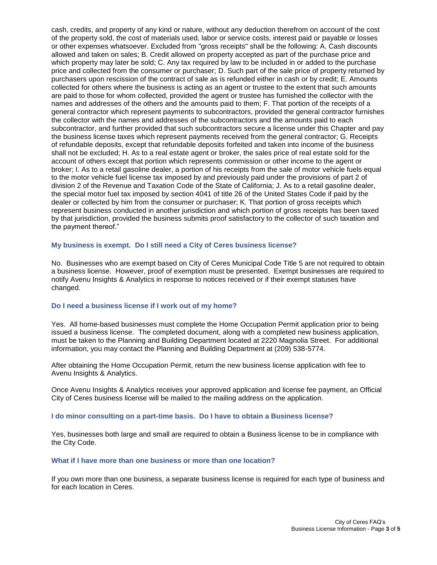cash, credits, and property of any kind or nature, without any deduction therefrom on account of the cost of the property sold, the cost of materials used, labor or service costs, interest paid or payable or losses or other expenses whatsoever. Excluded from "gross receipts" shall be the following: A. Cash discounts allowed and taken on sales; B. Credit allowed on property accepted as part of the purchase price and which property may later be sold; C. Any tax required by law to be included in or added to the purchase price and collected from the consumer or purchaser; D. Such part of the sale price of property returned by purchasers upon rescission of the contract of sale as is refunded either in cash or by credit; E. Amounts collected for others where the business is acting as an agent or trustee to the extent that such amounts are paid to those for whom collected, provided the agent or trustee has furnished the collector with the names and addresses of the others and the amounts paid to them; F. That portion of the receipts of a general contractor which represent payments to subcontractors, provided the general contractor furnishes the collector with the names and addresses of the subcontractors and the amounts paid to each subcontractor, and further provided that such subcontractors secure a license under this Chapter and pay the business license taxes which represent payments received from the general contractor; G. Receipts of refundable deposits, except that refundable deposits forfeited and taken into income of the business shall not be excluded; H. As to a real estate agent or broker, the sales price of real estate sold for the account of others except that portion which represents commission or other income to the agent or broker; I. As to a retail gasoline dealer, a portion of his receipts from the sale of motor vehicle fuels equal to the motor vehicle fuel license tax imposed by and previously paid under the provisions of part 2 of division 2 of the Revenue and Taxation Code of the State of California; J. As to a retail gasoline dealer, the special motor fuel tax imposed by section 4041 of title 26 of the United States Code if paid by the dealer or collected by him from the consumer or purchaser; K. That portion of gross receipts which represent business conducted in another jurisdiction and which portion of gross receipts has been taxed by that jurisdiction, provided the business submits proof satisfactory to the collector of such taxation and the payment thereof."

# **My business is exempt. Do I still need a City of Ceres business license?**

No. Businesses who are exempt based on City of Ceres Municipal Code Title 5 are not required to obtain a business license. However, proof of exemption must be presented. Exempt businesses are required to notify Avenu Insights & Analytics in response to notices received or if their exempt statuses have changed.

# **Do I need a business license if I work out of my home?**

Yes. All home-based businesses must complete the Home Occupation Permit application prior to being issued a business license. The completed document, along with a completed new business application, must be taken to the Planning and Building Department located at 2220 Magnolia Street. For additional information, you may contact the Planning and Building Department at (209) 538-5774.

After obtaining the Home Occupation Permit, return the new business license application with fee to Avenu Insights & Analytics.

Once Avenu Insights & Analytics receives your approved application and license fee payment, an Official City of Ceres business license will be mailed to the mailing address on the application.

### **I do minor consulting on a part-time basis. Do I have to obtain a Business license?**

Yes, businesses both large and small are required to obtain a Business license to be in compliance with the City Code.

#### **What if I have more than one business or more than one location?**

If you own more than one business, a separate business license is required for each type of business and for each location in Ceres.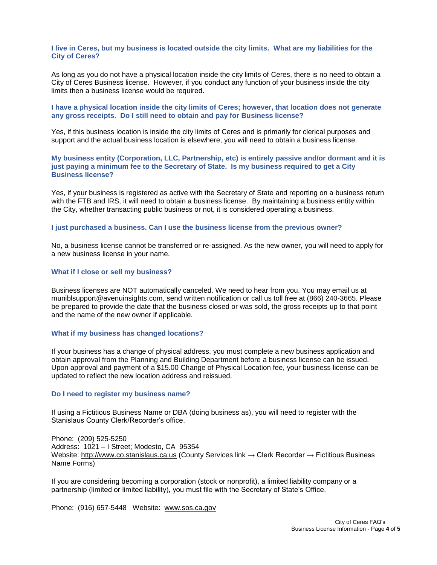**I live in Ceres, but my business is located outside the city limits. What are my liabilities for the City of Ceres?**

As long as you do not have a physical location inside the city limits of Ceres, there is no need to obtain a City of Ceres Business license. However, if you conduct any function of your business inside the city limits then a business license would be required.

# **I have a physical location inside the city limits of Ceres; however, that location does not generate any gross receipts. Do I still need to obtain and pay for Business license?**

Yes, if this business location is inside the city limits of Ceres and is primarily for clerical purposes and support and the actual business location is elsewhere, you will need to obtain a business license.

# **My business entity (Corporation, LLC, Partnership, etc) is entirely passive and/or dormant and it is just paying a minimum fee to the Secretary of State. Is my business required to get a City Business license?**

Yes, if your business is registered as active with the Secretary of State and reporting on a business return with the FTB and IRS, it will need to obtain a business license. By maintaining a business entity within the City, whether transacting public business or not, it is considered operating a business.

### **I just purchased a business. Can I use the business license from the previous owner?**

No, a business license cannot be transferred or re-assigned. As the new owner, you will need to apply for a new business license in your name.

#### **What if I close or sell my business?**

Business licenses are NOT automatically canceled. We need to hear from you. You may email us at muniblsupport@avenuinsights.com, send written notification or call us toll free at (866) 240-3665. Please be prepared to provide the date that the business closed or was sold, the gross receipts up to that point and the name of the new owner if applicable.

### **What if my business has changed locations?**

If your business has a change of physical address, you must complete a new business application and obtain approval from the Planning and Building Department before a business license can be issued. Upon approval and payment of a \$15.00 Change of Physical Location fee, your business license can be updated to reflect the new location address and reissued.

### **Do I need to register my business name?**

If using a Fictitious Business Name or DBA (doing business as), you will need to register with the Stanislaus County Clerk/Recorder's office.

Phone: (209) 525-5250 Address: 1021 – I Street; Modesto, CA 95354 Website: http://www.co.stanislaus.ca.us (County Services link → Clerk Recorder → Fictitious Business Name Forms)

If you are considering becoming a corporation (stock or nonprofit), a limited liability company or a partnership (limited or limited liability), you must file with the Secretary of State's Office.

Phone: (916) 657-5448 Website: www.sos.ca.gov